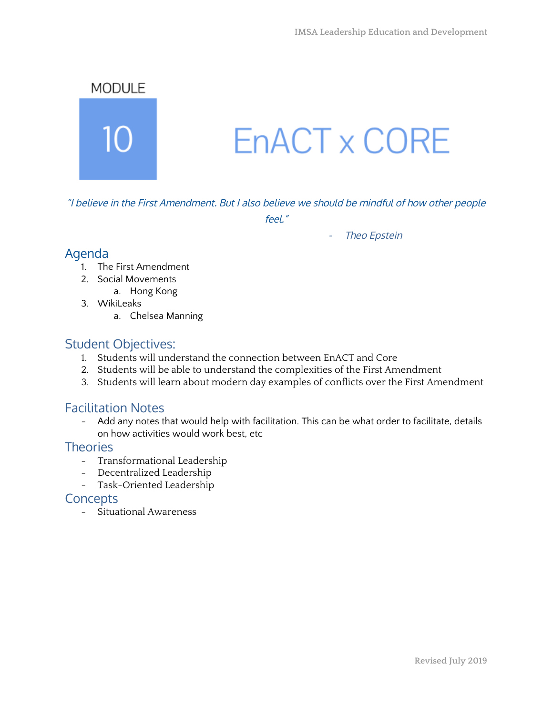

"I believe in the First Amendment. But I also believe we should be mindful of how other people

feel."

#### - Theo Epstein

## Agenda

- 1. The First Amendment
- 2. Social Movements
	- a. Hong Kong
- 3. WikiLeaks
	- a. Chelsea Manning

## Student Objectives:

- 1. Students will understand the connection between EnACT and Core
- 2. Students will be able to understand the complexities of the First Amendment
- 3. Students will learn about modern day examples of conflicts over the First Amendment

## Facilitation Notes

- Add any notes that would help with facilitation. This can be what order to facilitate, details on how activities would work best, etc

## **Theories**

- Transformational Leadership
- Decentralized Leadership
- Task-Oriented Leadership

## **Concepts**

- Situational Awareness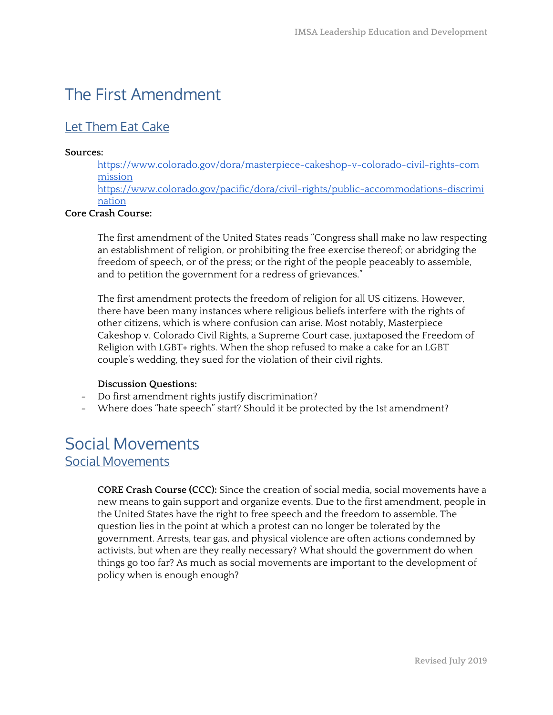# The First Amendment

## Let Them Eat Cake

#### **Sources:**

[https://www.colorado.gov/dora/masterpiece-cakeshop-v-colorado-civil-rights-com](https://www.colorado.gov/dora/masterpiece-cakeshop-v-colorado-civil-rights-commission) [mission](https://www.colorado.gov/dora/masterpiece-cakeshop-v-colorado-civil-rights-commission)

[https://www.colorado.gov/pacific/dora/civil-rights/public-accommodations-discrimi](https://www.colorado.gov/pacific/dora/civil-rights/public-accommodations-discrimination) [nation](https://www.colorado.gov/pacific/dora/civil-rights/public-accommodations-discrimination)

#### **Core Crash Course:**

The first amendment of the United States reads "Congress shall make no law respecting an establishment of religion, or prohibiting the free exercise thereof; or abridging the freedom of speech, or of the press; or the right of the people peaceably to assemble, and to petition the government for a redress of grievances."

The first amendment protects the freedom of religion for all US citizens. However, there have been many instances where religious beliefs interfere with the rights of other citizens, which is where confusion can arise. Most notably, Masterpiece Cakeshop v. Colorado Civil Rights, a Supreme Court case, juxtaposed the Freedom of Religion with LGBT+ rights. When the shop refused to make a cake for an LGBT couple's wedding, they sued for the violation of their civil rights.

#### **Discussion Questions:**

- Do first amendment rights justify discrimination?
- Where does "hate speech" start? Should it be protected by the 1st amendment?

# Social Movements Social Movements

**CORE Crash Course (CCC):** Since the creation of social media, social movements have a new means to gain support and organize events. Due to the first amendment, people in the United States have the right to free speech and the freedom to assemble. The question lies in the point at which a protest can no longer be tolerated by the government. Arrests, tear gas, and physical violence are often actions condemned by activists, but when are they really necessary? What should the government do when things go too far? As much as social movements are important to the development of policy when is enough enough?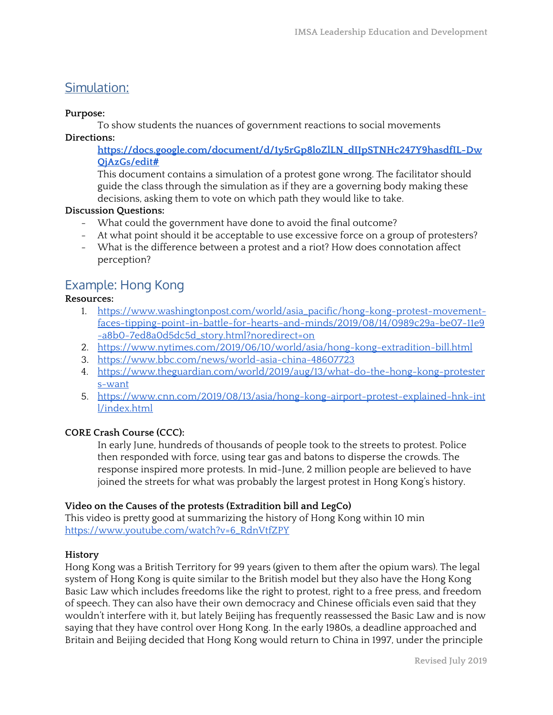## Simulation:

#### **Purpose:**

To show students the nuances of government reactions to social movements

**Directions:**

**[https://docs.google.com/document/d/1y5rGp8loZlLN\\_dIJpSTNHc247Y9hasdfIL-Dw](https://docs.google.com/document/d/1y5rGp8loZlLN_dIJpSTNHc247Y9hasdfIL-DwQjAzGs/edit#) [QjAzGs/edit#](https://docs.google.com/document/d/1y5rGp8loZlLN_dIJpSTNHc247Y9hasdfIL-DwQjAzGs/edit#)**

This document contains a simulation of a protest gone wrong. The facilitator should guide the class through the simulation as if they are a governing body making these decisions, asking them to vote on which path they would like to take.

## **Discussion Questions:**

- What could the government have done to avoid the final outcome?
- At what point should it be acceptable to use excessive force on a group of protesters?
- What is the difference between a protest and a riot? How does connotation affect perception?

# Example: Hong Kong

## **Resources:**

- 1. [https://www.washingtonpost.com/world/asia\\_pacific/hong-kong-protest-movement](https://www.washingtonpost.com/world/asia_pacific/hong-kong-protest-movement-faces-tipping-point-in-battle-for-hearts-and-minds/2019/08/14/0989c29a-be07-11e9-a8b0-7ed8a0d5dc5d_story.html?noredirect=on)[faces-tipping-point-in-battle-for-hearts-and-minds/2019/08/14/0989c29a-be07-11e9](https://www.washingtonpost.com/world/asia_pacific/hong-kong-protest-movement-faces-tipping-point-in-battle-for-hearts-and-minds/2019/08/14/0989c29a-be07-11e9-a8b0-7ed8a0d5dc5d_story.html?noredirect=on) [-a8b0-7ed8a0d5dc5d\\_story.html?noredirect=on](https://www.washingtonpost.com/world/asia_pacific/hong-kong-protest-movement-faces-tipping-point-in-battle-for-hearts-and-minds/2019/08/14/0989c29a-be07-11e9-a8b0-7ed8a0d5dc5d_story.html?noredirect=on)
- 2. <https://www.nytimes.com/2019/06/10/world/asia/hong-kong-extradition-bill.html>
- 3. <https://www.bbc.com/news/world-asia-china-48607723>
- 4. [https://www.theguardian.com/world/2019/aug/13/what-do-the-hong-kong-protester](https://www.theguardian.com/world/2019/aug/13/what-do-the-hong-kong-protesters-want) [s-want](https://www.theguardian.com/world/2019/aug/13/what-do-the-hong-kong-protesters-want)
- 5. [https://www.cnn.com/2019/08/13/asia/hong-kong-airport-protest-explained-hnk-int](https://www.cnn.com/2019/08/13/asia/hong-kong-airport-protest-explained-hnk-intl/index.html) [l/index.html](https://www.cnn.com/2019/08/13/asia/hong-kong-airport-protest-explained-hnk-intl/index.html)

## **CORE Crash Course (CCC):**

In early June, hundreds of thousands of people took to the streets to protest. Police then responded with force, using tear gas and batons to disperse the crowds. The response inspired more protests. In mid-June, 2 million people are believed to have joined the streets for what was probably the largest protest in Hong Kong's history.

## **Video on the Causes of the protests (Extradition bill and LegCo)**

This video is pretty good at summarizing the history of Hong Kong within 10 min [https://www.youtube.com/watch?v=6\\_RdnVtfZPY](https://www.youtube.com/watch?v=6_RdnVtfZPY)

## **History**

Hong Kong was a British Territory for 99 years (given to them after the opium wars). The legal system of Hong Kong is quite similar to the British model but they also have the Hong Kong Basic Law which includes freedoms like the right to protest, right to a free press, and freedom of speech. They can also have their own democracy and Chinese officials even said that they wouldn't interfere with it, but lately Beijing has frequently reassessed the Basic Law and is now saying that they have control over Hong Kong. In the early 1980s, a deadline approached and Britain and Beijing decided that Hong Kong would return to China in 1997, under the principle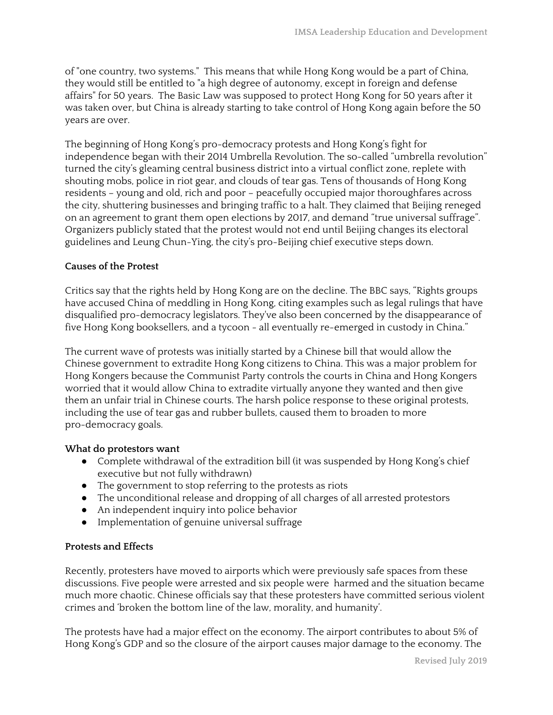of "one country, two systems." This means that while Hong Kong would be a part of China, they would still be entitled to "a high degree of autonomy, except in foreign and defense affairs" for 50 years. The Basic Law was supposed to protect Hong Kong for 50 years after it was taken over, but China is already starting to take control of Hong Kong again before the 50 years are over.

The beginning of Hong Kong's pro-democracy protests and Hong Kong's fight for independence began with their 2014 Umbrella Revolution. The so-called "umbrella revolution" turned the city's gleaming central business district into a virtual conflict zone, replete with shouting mobs, police in riot gear, and clouds of tear gas. Tens of thousands of Hong Kong residents – young and old, rich and poor – peacefully occupied major [thoroughfares](https://www.theguardian.com/world/2014/sep/29/hong-kong-citizens-protests-police-withdraw) across the [city,](https://www.theguardian.com/world/2014/sep/29/hong-kong-citizens-protests-police-withdraw) shuttering businesses and bringing traffic to a halt. They claimed that Beijing reneged on an agreement to grant them open elections by 2017, and demand "true universal suffrage". Organizers publicly stated that the protest would not end until Beijing changes its electoral guidelines and Leung Chun-Ying, the city's pro-Beijing chief executive steps down.

#### **Causes of the Protest**

Critics say that the rights held by Hong Kong are on the decline. The BBC says, "Rights groups have accused China of meddling in Hong Kong, citing examples such as legal rulings that have disqualified pro-democracy legislators. They've also been concerned by the disappearance of five Hong Kong booksellers, and a tycoon - all eventually re-emerged in custody in China."

The current wave of protests was initially started by a Chinese bill that would allow the Chinese government to extradite Hong Kong citizens to China. This was a major problem for Hong Kongers because the Communist Party controls the courts in China and Hong Kongers worried that it would allow China to extradite virtually anyone they wanted and then give them an unfair trial in Chinese courts. The harsh police response to these original protests, including the use of tear gas and rubber bullets, caused them to broaden to more pro-democracy goals.

#### **What do protestors want**

- Complete withdrawal of the extradition bill (it was suspended by Hong Kong's chief executive but not fully withdrawn)
- The government to stop referring to the protests as riots
- The unconditional release and dropping of all charges of all arrested protestors
- An independent inquiry into police behavior
- Implementation of genuine universal suffrage

## **Protests and Effects**

Recently, protesters have moved to airports which were previously safe spaces from these discussions. Five people were arrested and six people were harmed and the situation became much more chaotic. Chinese officials say that these protesters have committed serious violent crimes and 'broken the bottom line of the law, morality, and humanity'.

The protests have had a major effect on the economy. The airport contributes to about 5% of Hong Kong's GDP and so the closure of the airport causes major damage to the economy. The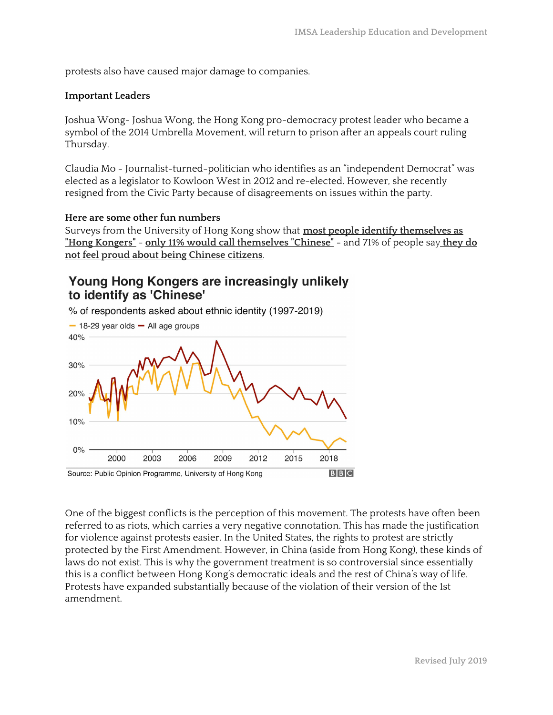protests also have caused major damage to companies.

#### **Important Leaders**

Joshua Wong- Joshua Wong, the Hong Kong pro-democracy protest leader who became a symbol of the 2014 Umbrella Movement, will return to prison after an appeals court ruling Thursday.

Claudia Mo - Journalist-turned-politician who identifies as an "independent Democrat" was elected as a legislator to Kowloon West in 2012 and re-elected. However, she recently resigned from the Civic Party because of disagreements on issues within the party.

#### **Here are some other fun numbers**

Surveys from the University of Hong Kong show that **most people identify [themselves](https://www.hkupop.hku.hk/english/release/release1563.html) as "Hong [Kongers"](https://www.hkupop.hku.hk/english/release/release1563.html)** - **only 11% would call [themselves](https://www.hkupop.hku.hk/english/popexpress/ethnic/eidentity/halfyr/datatables.html) "Chinese"** - and 71% of people say **[they](https://www.hkupop.hku.hk/english/release/release1594.html) do not feel proud about being [Chinese](https://www.hkupop.hku.hk/english/release/release1594.html) citizens**.

## Young Hong Kongers are increasingly unlikely to identify as 'Chinese'

% of respondents asked about ethnic identity (1997-2019)  $-$  18-29 year olds  $-$  All age groups



One of the biggest conflicts is the perception of this movement. The protests have often been referred to as riots, which carries a very negative connotation. This has made the justification for violence against protests easier. In the United States, the rights to protest are strictly protected by the First Amendment. However, in China (aside from Hong Kong), these kinds of laws do not exist. This is why the government treatment is so controversial since essentially this is a conflict between Hong Kong's democratic ideals and the rest of China's way of life. Protests have expanded substantially because of the violation of their version of the 1st amendment.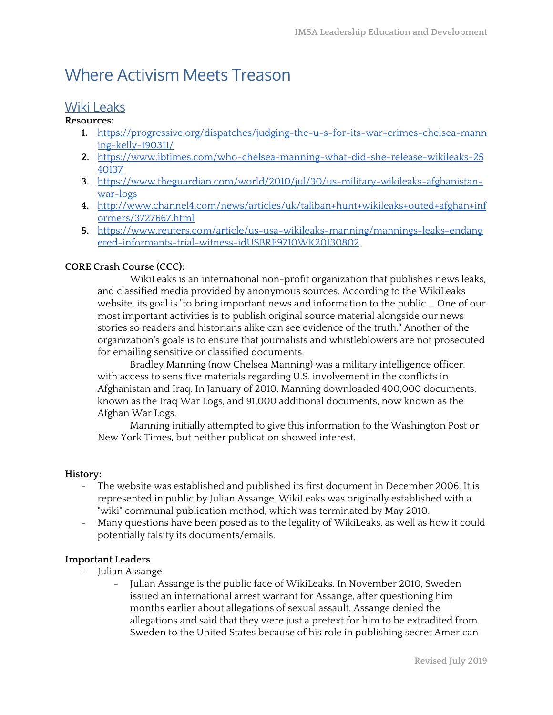# Where Activism Meets Treason

# Wiki Leaks

#### **Resources:**

- **1.** [https://progressive.org/dispatches/judging-the-u-s-for-its-war-crimes-chelsea-mann](https://progressive.org/dispatches/judging-the-u-s-for-its-war-crimes-chelsea-manning-kelly-190311/) [ing-kelly-190311/](https://progressive.org/dispatches/judging-the-u-s-for-its-war-crimes-chelsea-manning-kelly-190311/)
- **2.** [https://www.ibtimes.com/who-chelsea-manning-what-did-she-release-wikileaks-25](https://www.ibtimes.com/who-chelsea-manning-what-did-she-release-wikileaks-2540137) [40137](https://www.ibtimes.com/who-chelsea-manning-what-did-she-release-wikileaks-2540137)
- **3.** [https://www.theguardian.com/world/2010/jul/30/us-military-wikileaks-afghanistan](https://www.theguardian.com/world/2010/jul/30/us-military-wikileaks-afghanistan-war-logs)[war-logs](https://www.theguardian.com/world/2010/jul/30/us-military-wikileaks-afghanistan-war-logs)
- **4.** [http://www.channel4.com/news/articles/uk/taliban+hunt+wikileaks+outed+afghan+inf](http://www.channel4.com/news/articles/uk/taliban+hunt+wikileaks+outed+afghan+informers/3727667.html) [ormers/3727667.html](http://www.channel4.com/news/articles/uk/taliban+hunt+wikileaks+outed+afghan+informers/3727667.html)
- **5.** [https://www.reuters.com/article/us-usa-wikileaks-manning/mannings-leaks-endang](https://www.reuters.com/article/us-usa-wikileaks-manning/mannings-leaks-endangered-informants-trial-witness-idUSBRE9710WK20130802) [ered-informants-trial-witness-idUSBRE9710WK20130802](https://www.reuters.com/article/us-usa-wikileaks-manning/mannings-leaks-endangered-informants-trial-witness-idUSBRE9710WK20130802)

## **CORE Crash Course (CCC):**

WikiLeaks is an international non-profit organization that publishes news leaks, and classified media provided by anonymous sources. According to the WikiLeaks website, its goal is "to bring important news and information to the public ... One of our most important activities is to publish original source material alongside our news stories so readers and historians alike can see evidence of the truth." Another of the organization's goals is to ensure that journalists and whistleblowers are not prosecuted for emailing sensitive or classified documents.

Bradley Manning (now Chelsea Manning) was a military intelligence officer, with access to sensitive materials regarding U.S. involvement in the conflicts in Afghanistan and Iraq. In January of 2010, Manning downloaded 400,000 documents, known as the Iraq War Logs, and 91,000 additional documents, now known as the Afghan War Logs.

Manning initially attempted to give this information to the Washington Post or New York Times, but neither publication showed interest.

## **History:**

- The website was established and published its first document in December 2006. It is represented in public by Julian Assange. WikiLeaks was originally established with a "wiki" communal publication method, which was terminated by May 2010.
- Many questions have been posed as to the legality of WikiLeaks, as well as how it could potentially falsify its documents/emails.

## **Important Leaders**

- Julian Assange
	- Julian Assange is the public face of WikiLeaks. In November 2010, Sweden issued an international arrest warrant for Assange, after questioning him months earlier about allegations of sexual assault. Assange denied the allegations and said that they were just a pretext for him to be extradited from Sweden to the United States because of his role in publishing secret American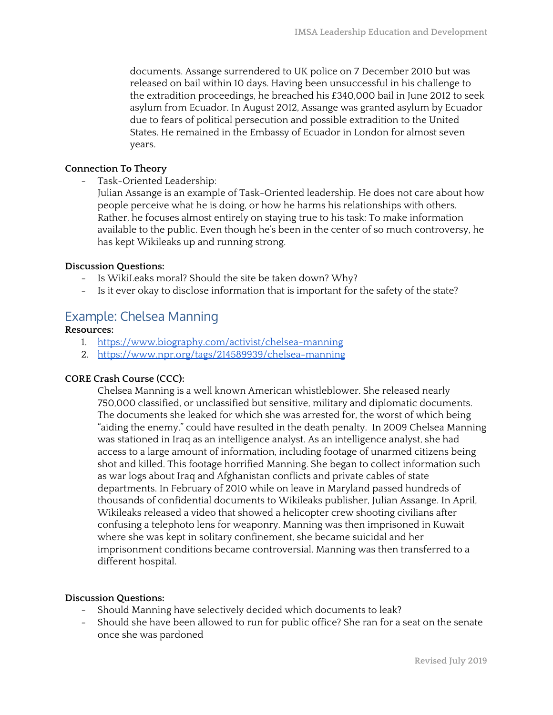documents. Assange surrendered to UK police on 7 December 2010 but was released on bail within 10 days. Having been unsuccessful in his challenge to the extradition proceedings, he breached his £340,000 bail in June 2012 to seek asylum from Ecuador. In August 2012, Assange was granted asylum by Ecuador due to fears of political persecution and possible extradition to the United States. He remained in the Embassy of Ecuador in London for almost seven years.

#### **Connection To Theory**

- Task-Oriented Leadership:

Julian Assange is an example of Task-Oriented leadership. He does not care about how people perceive what he is doing, or how he harms his relationships with others. Rather, he focuses almost entirely on staying true to his task: To make information available to the public. Even though he's been in the center of so much controversy, he has kept Wikileaks up and running strong.

#### **Discussion Questions:**

- Is WikiLeaks moral? Should the site be taken down? Why?
- Is it ever okay to disclose information that is important for the safety of the state?

## Example: Chelsea Manning

#### **Resources:**

- 1. <https://www.biography.com/activist/chelsea-manning>
- 2. <https://www.npr.org/tags/214589939/chelsea-manning>

## **CORE Crash Course (CCC):**

Chelsea Manning is a well known American whistleblower. She released nearly 750,000 classified, or unclassified but sensitive, military and diplomatic documents. The documents she leaked for which she was arrested for, the worst of which being "aiding the enemy," could have resulted in the death penalty. In 2009 Chelsea Manning was stationed in Iraq as an intelligence analyst. As an intelligence analyst, she had access to a large amount of information, including footage of unarmed citizens being shot and killed. This footage horrified Manning. She began to collect information such as war logs about Iraq and Afghanistan conflicts and private cables of state departments. In February of 2010 while on leave in Maryland passed hundreds of thousands of confidential documents to Wikileaks publisher, Julian Assange. In April, Wikileaks released a video that showed a helicopter crew shooting civilians after confusing a telephoto lens for weaponry. Manning was then imprisoned in Kuwait where she was kept in solitary confinement, she became suicidal and her imprisonment conditions became controversial. Manning was then transferred to a different hospital.

#### **Discussion Questions:**

- Should Manning have selectively decided which documents to leak?
- Should she have been allowed to run for public office? She ran for a seat on the senate once she was pardoned